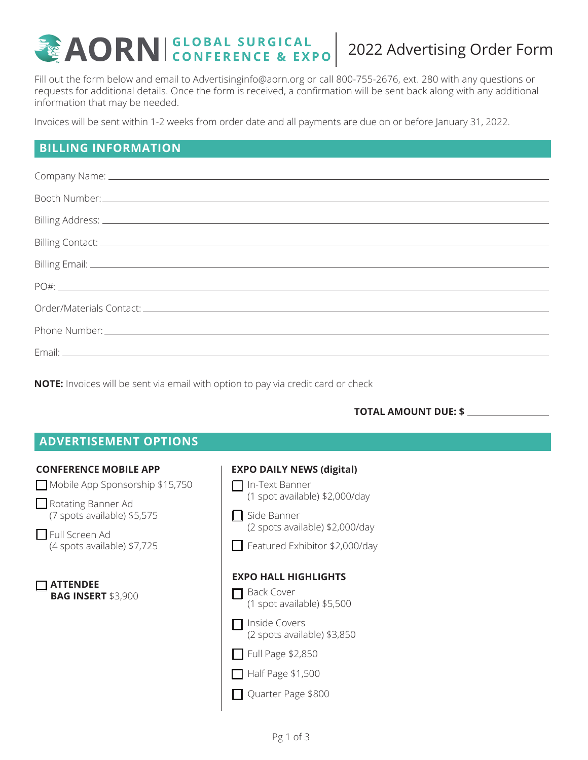# **2022 AORN GLOBAL SURGICAL 2022 Advertising Order Form**

Fill out the form below and email to Advertisinginfo@aorn.org or call 800-755-2676, ext. 280 with any questions or requests for additional details. Once the form is received, a confirmation will be sent back along with any additional information that may be needed.

Invoices will be sent within 1-2 weeks from order date and all payments are due on or before January 31, 2022.

# **BILLING INFORMATION**

| Order/Materials Contact: Law and Contact and Contact and Contact and Contact and Contact and Contact and Conta |
|----------------------------------------------------------------------------------------------------------------|
|                                                                                                                |
|                                                                                                                |

**NOTE:** Invoices will be sent via email with option to pay via credit card or check

#### **TOTAL AMOUNT DUE: \$**

| <b>ADVERTISEMENT OPTIONS</b>                                                                                                                                                 |                                                                                                                                                                                                              |
|------------------------------------------------------------------------------------------------------------------------------------------------------------------------------|--------------------------------------------------------------------------------------------------------------------------------------------------------------------------------------------------------------|
| <b>CONFERENCE MOBILE APP</b><br>Mobile App Sponsorship \$15,750<br>$\Box$ Rotating Banner Ad<br>(7 spots available) \$5,575<br>Full Screen Ad<br>(4 spots available) \$7,725 | <b>EXPO DAILY NEWS (digital)</b><br>In-Text Banner<br>(1 spot available) \$2,000/day<br>Side Banner<br>(2 spots available) \$2,000/day<br>Featured Exhibitor \$2,000/day                                     |
| <b>ATTENDEE</b><br><b>BAG INSERT \$3,900</b>                                                                                                                                 | <b>EXPO HALL HIGHLIGHTS</b><br><b>Back Cover</b><br>(1 spot available) \$5,500<br>Inside Covers<br>(2 spots available) \$3,850<br>$\Box$ Full Page \$2,850<br>$\Box$ Half Page \$1,500<br>Quarter Page \$800 |
|                                                                                                                                                                              | Pg 1 of 3                                                                                                                                                                                                    |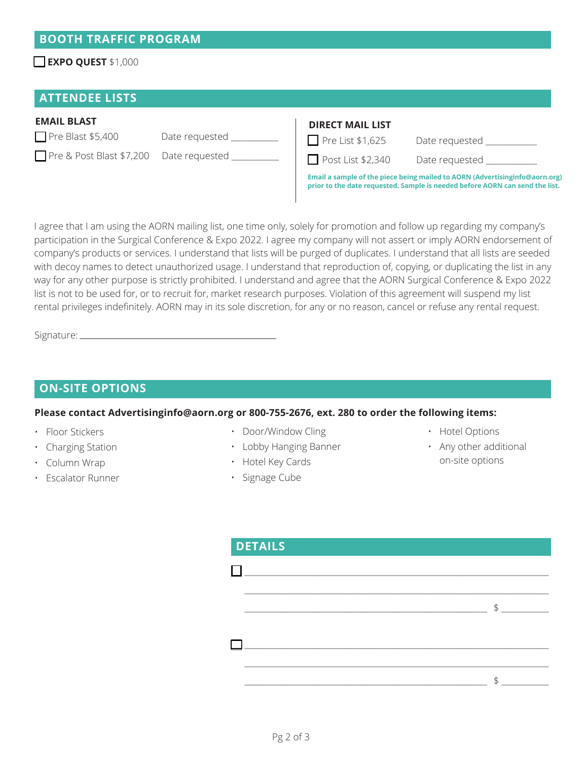## **EXPO QUEST** \$1,000

## **ATTENDEE LISTS**

#### **EMAIL BLAST**

Pre Blast \$5,400 Date requested \_

Pre & Post Blast \$7,200 Date requested

| <b>DIRECT MAIL LIST</b>                                                                                                                                      |                       |  |  |
|--------------------------------------------------------------------------------------------------------------------------------------------------------------|-----------------------|--|--|
| $\Box$ Pre List \$1,625                                                                                                                                      | Date requested        |  |  |
| $\Box$ Post List \$2,340                                                                                                                                     | Date requested ______ |  |  |
| Email a sample of the piece being mailed to AORN (Advertising info@aorn.org)<br>prior to the date requested. Sample is needed before AORN can send the list. |                       |  |  |

I agree that I am using the AORN mailing list, one time only, solely for promotion and follow up regarding my company's participation in the Surgical Conference & Expo 2022. I agree my company will not assert or imply AORN endorsement of company's products or services. I understand that lists will be purged of duplicates. I understand that all lists are seeded with decoy names to detect unauthorized usage. I understand that reproduction of, copying, or duplicating the list in any way for any other purpose is strictly prohibited. I understand and agree that the AORN Surgical Conference & Expo 2022 list is not to be used for, or to recruit for, market research purposes. Violation of this agreement will suspend my list rental privileges indefinitely. AORN may in its sole discretion, for any or no reason, cancel or refuse any rental request.

Signature:

## **ON-SITE OPTIONS**

#### **Please contact Advertisinginfo@aorn.org or 800-755-2676, ext. 280 to order the following items:**

- Floor Stickers
- Charging Station
- Column Wrap
- Escalator Runner
- Door/Window Cling
- Lobby Hanging Banner
- Hotel Key Cards
- Signage Cube
- Hotel Options
- Any other additional on-site options

| <b>DETAILS</b> |                |
|----------------|----------------|
|                |                |
|                | $\mathfrak{F}$ |
|                |                |
|                |                |
|                |                |